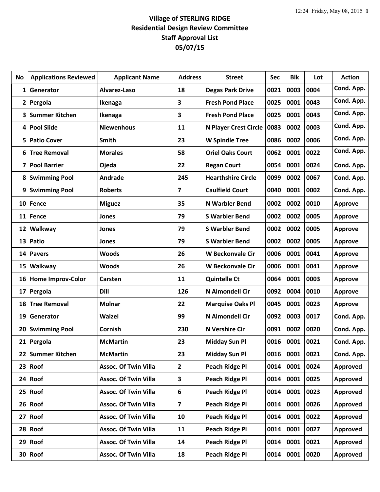| No           | <b>Applications Reviewed</b> | <b>Applicant Name</b>       | <b>Address</b>          | <b>Street</b>                | <b>Sec</b> | <b>Blk</b> | Lot  | <b>Action</b>  |
|--------------|------------------------------|-----------------------------|-------------------------|------------------------------|------------|------------|------|----------------|
| 1            | Generator                    | Alvarez-Laso                | 18                      | <b>Degas Park Drive</b>      | 0021       | 0003       | 0004 | Cond. App.     |
| $\mathbf{2}$ | Pergola                      | Ikenaga                     | 3                       | <b>Fresh Pond Place</b>      | 0025       | 0001       | 0043 | Cond. App.     |
| 3            | <b>Summer Kitchen</b>        | Ikenaga                     | 3                       | <b>Fresh Pond Place</b>      | 0025       | 0001       | 0043 | Cond. App.     |
| 4            | <b>Pool Slide</b>            | <b>Niewenhous</b>           | 11                      | <b>N Player Crest Circle</b> | 0083       | 0002       | 0003 | Cond. App.     |
| 5            | <b>Patio Cover</b>           | <b>Smith</b>                | 23                      | <b>W Spindle Tree</b>        | 0086       | 0002       | 0006 | Cond. App.     |
| 6            | <b>Tree Removal</b>          | <b>Morales</b>              | 58                      | <b>Oriel Oaks Court</b>      | 0062       | 0001       | 0022 | Cond. App.     |
| 7            | <b>Pool Barrier</b>          | Ojeda                       | 22                      | <b>Regan Court</b>           | 0054       | 0001       | 0024 | Cond. App.     |
| 8            | <b>Swimming Pool</b>         | Andrade                     | 245                     | <b>Hearthshire Circle</b>    | 0099       | 0002       | 0067 | Cond. App.     |
| 9            | <b>Swimming Pool</b>         | <b>Roberts</b>              | $\overline{\mathbf{z}}$ | <b>Caulfield Court</b>       | 0040       | 0001       | 0002 | Cond. App.     |
| 10           | Fence                        | <b>Miguez</b>               | 35                      | <b>N Warbler Bend</b>        | 0002       | 0002       | 0010 | <b>Approve</b> |
| 11           | Fence                        | Jones                       | 79                      | <b>S Warbler Bend</b>        | 0002       | 0002       | 0005 | <b>Approve</b> |
| 12           | Walkway                      | Jones                       | 79                      | <b>S Warbler Bend</b>        | 0002       | 0002       | 0005 | <b>Approve</b> |
| 13           | Patio                        | Jones                       | 79                      | <b>S Warbler Bend</b>        | 0002       | 0002       | 0005 | <b>Approve</b> |
| 14           | <b>Pavers</b>                | <b>Woods</b>                | 26                      | <b>W Beckonvale Cir</b>      | 0006       | 0001       | 0041 | <b>Approve</b> |
| 15           | Walkway                      | <b>Woods</b>                | 26                      | <b>W Beckonvale Cir</b>      | 0006       | 0001       | 0041 | <b>Approve</b> |
| 16           | <b>Home Improv-Color</b>     | Carsten                     | 11                      | <b>Quintelle Ct</b>          | 0064       | 0001       | 0003 | <b>Approve</b> |
| 17           | Pergola                      | Dill                        | 126                     | <b>N Almondell Cir</b>       | 0092       | 0004       | 0010 | <b>Approve</b> |
| 18           | <b>Tree Removal</b>          | <b>Molnar</b>               | 22                      | <b>Marquise Oaks Pl</b>      | 0045       | 0001       | 0023 | <b>Approve</b> |
| 19           | Generator                    | Walzel                      | 99                      | <b>N Almondell Cir</b>       | 0092       | 0003       | 0017 | Cond. App.     |
| 20           | <b>Swimming Pool</b>         | Cornish                     | 230                     | <b>N Vershire Cir</b>        | 0091       | 0002       | 0020 | Cond. App.     |
|              | 21 Pergola                   | <b>McMartin</b>             | 23                      | <b>Midday Sun Pl</b>         | 0016       | 0001       | 0021 | Cond. App.     |
| 22           | <b>Summer Kitchen</b>        | <b>McMartin</b>             | 23                      | <b>Midday Sun Pl</b>         | 0016       | 0001       | 0021 | Cond. App.     |
| 23           | Roof                         | <b>Assoc. Of Twin Villa</b> | $\overline{2}$          | <b>Peach Ridge Pl</b>        | 0014       | 0001       | 0024 | Approved       |
| 24           | Roof                         | <b>Assoc. Of Twin Villa</b> | $\overline{\mathbf{3}}$ | Peach Ridge Pl               | 0014       | 0001       | 0025 | Approved       |
| 25           | Roof                         | <b>Assoc. Of Twin Villa</b> | 6                       | Peach Ridge Pl               | 0014       | 0001       | 0023 | Approved       |
| 26           | Roof                         | <b>Assoc. Of Twin Villa</b> | $\overline{\mathbf{z}}$ | <b>Peach Ridge Pl</b>        | 0014       | 0001       | 0026 | Approved       |
| 27           | Roof                         | <b>Assoc. Of Twin Villa</b> | 10                      | <b>Peach Ridge Pl</b>        | 0014       | 0001       | 0022 | Approved       |
|              | $28$ Roof                    | <b>Assoc. Of Twin Villa</b> | 11                      | Peach Ridge Pl               | 0014       | 0001       | 0027 | Approved       |
| 29           | Roof                         | <b>Assoc. Of Twin Villa</b> | 14                      | <b>Peach Ridge Pl</b>        | 0014       | 0001       | 0021 | Approved       |
|              | $30$ Roof                    | <b>Assoc. Of Twin Villa</b> | 18                      | Peach Ridge Pl               | 0014       | 0001       | 0020 | Approved       |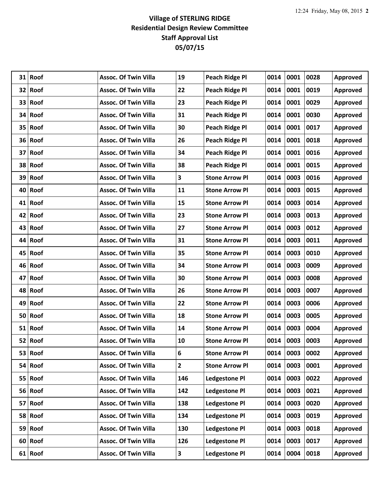| 31 | Roof      | <b>Assoc. Of Twin Villa</b> | 19                      | <b>Peach Ridge Pl</b> | 0014 | 0001 | 0028 | Approved        |
|----|-----------|-----------------------------|-------------------------|-----------------------|------|------|------|-----------------|
|    | 32 Roof   | <b>Assoc. Of Twin Villa</b> | 22                      | <b>Peach Ridge Pl</b> | 0014 | 0001 | 0019 | Approved        |
|    | 33 Roof   | <b>Assoc. Of Twin Villa</b> | 23                      | <b>Peach Ridge Pl</b> | 0014 | 0001 | 0029 | Approved        |
|    | 34 Roof   | <b>Assoc. Of Twin Villa</b> | 31                      | <b>Peach Ridge Pl</b> | 0014 | 0001 | 0030 | Approved        |
|    | 35 Roof   | <b>Assoc. Of Twin Villa</b> | 30                      | <b>Peach Ridge Pl</b> | 0014 | 0001 | 0017 | Approved        |
|    | 36 Roof   | <b>Assoc. Of Twin Villa</b> | 26                      | <b>Peach Ridge Pl</b> | 0014 | 0001 | 0018 | Approved        |
|    | 37 Roof   | <b>Assoc. Of Twin Villa</b> | 34                      | <b>Peach Ridge Pl</b> | 0014 | 0001 | 0016 | Approved        |
|    | 38 Roof   | <b>Assoc. Of Twin Villa</b> | 38                      | Peach Ridge Pl        | 0014 | 0001 | 0015 | Approved        |
|    | 39 Roof   | <b>Assoc. Of Twin Villa</b> | $\overline{\mathbf{3}}$ | <b>Stone Arrow Pl</b> | 0014 | 0003 | 0016 | Approved        |
|    | 40 Roof   | <b>Assoc. Of Twin Villa</b> | 11                      | <b>Stone Arrow Pl</b> | 0014 | 0003 | 0015 | Approved        |
|    | 41 Roof   | <b>Assoc. Of Twin Villa</b> | 15                      | <b>Stone Arrow Pl</b> | 0014 | 0003 | 0014 | Approved        |
| 42 | Roof      | <b>Assoc. Of Twin Villa</b> | 23                      | <b>Stone Arrow Pl</b> | 0014 | 0003 | 0013 | Approved        |
|    | 43 Roof   | <b>Assoc. Of Twin Villa</b> | 27                      | <b>Stone Arrow Pl</b> | 0014 | 0003 | 0012 | Approved        |
|    | 44 Roof   | <b>Assoc. Of Twin Villa</b> | 31                      | <b>Stone Arrow Pl</b> | 0014 | 0003 | 0011 | Approved        |
|    | 45 Roof   | <b>Assoc. Of Twin Villa</b> | 35                      | <b>Stone Arrow Pl</b> | 0014 | 0003 | 0010 | Approved        |
|    | 46 Roof   | <b>Assoc. Of Twin Villa</b> | 34                      | <b>Stone Arrow Pl</b> | 0014 | 0003 | 0009 | Approved        |
| 47 | Roof      | <b>Assoc. Of Twin Villa</b> | 30                      | <b>Stone Arrow Pl</b> | 0014 | 0003 | 0008 | Approved        |
|    | 48 Roof   | <b>Assoc. Of Twin Villa</b> | 26                      | <b>Stone Arrow Pl</b> | 0014 | 0003 | 0007 | Approved        |
| 49 | Roof      | <b>Assoc. Of Twin Villa</b> | 22                      | <b>Stone Arrow Pl</b> | 0014 | 0003 | 0006 | Approved        |
|    | 50 Roof   | <b>Assoc. Of Twin Villa</b> | 18                      | <b>Stone Arrow Pl</b> | 0014 | 0003 | 0005 | Approved        |
|    | 51 Roof   | <b>Assoc. Of Twin Villa</b> | 14                      | <b>Stone Arrow Pl</b> | 0014 | 0003 | 0004 | Approved        |
|    | 52 Roof   | <b>Assoc. Of Twin Villa</b> | 10                      | <b>Stone Arrow Pl</b> | 0014 | 0003 | 0003 | Approved        |
| 53 | Roof      | <b>Assoc. Of Twin Villa</b> | 6                       | <b>Stone Arrow Pl</b> | 0014 | 0003 | 0002 | Approved        |
|    | 54 Roof   | <b>Assoc. Of Twin Villa</b> | $\mathbf{2}$            | <b>Stone Arrow Pl</b> | 0014 | 0003 | 0001 | Approved        |
|    | $55$ Roof | <b>Assoc. Of Twin Villa</b> | 146                     | <b>Ledgestone Pl</b>  | 0014 | 0003 | 0022 | Approved        |
|    | 56 Roof   | <b>Assoc. Of Twin Villa</b> | 142                     | <b>Ledgestone Pl</b>  | 0014 | 0003 | 0021 | Approved        |
|    | 57 Roof   | <b>Assoc. Of Twin Villa</b> | 138                     | <b>Ledgestone Pl</b>  | 0014 | 0003 | 0020 | Approved        |
|    | 58 Roof   | <b>Assoc. Of Twin Villa</b> | 134                     | <b>Ledgestone Pl</b>  | 0014 | 0003 | 0019 | Approved        |
|    | 59 Roof   | <b>Assoc. Of Twin Villa</b> | 130                     | <b>Ledgestone Pl</b>  | 0014 | 0003 | 0018 | Approved        |
| 60 | Roof      | <b>Assoc. Of Twin Villa</b> | 126                     | <b>Ledgestone Pl</b>  | 0014 | 0003 | 0017 | Approved        |
|    | $61$ Roof | <b>Assoc. Of Twin Villa</b> | 3                       | <b>Ledgestone Pl</b>  | 0014 | 0004 | 0018 | <b>Approved</b> |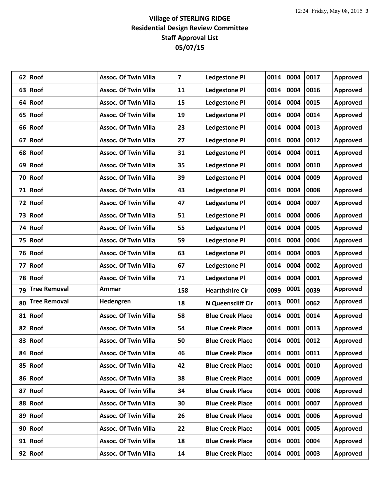| 62 | Roof                | <b>Assoc. Of Twin Villa</b> | 7   | <b>Ledgestone Pl</b>    | 0014 | 0004 | 0017 | Approved |
|----|---------------------|-----------------------------|-----|-------------------------|------|------|------|----------|
|    | 63 Roof             | <b>Assoc. Of Twin Villa</b> | 11  | <b>Ledgestone Pl</b>    | 0014 | 0004 | 0016 | Approved |
| 64 | Roof                | <b>Assoc. Of Twin Villa</b> | 15  | <b>Ledgestone Pl</b>    | 0014 | 0004 | 0015 | Approved |
| 65 | Roof                | <b>Assoc. Of Twin Villa</b> | 19  | <b>Ledgestone Pl</b>    | 0014 | 0004 | 0014 | Approved |
|    | 66 Roof             | <b>Assoc. Of Twin Villa</b> | 23  | <b>Ledgestone Pl</b>    | 0014 | 0004 | 0013 | Approved |
| 67 | Roof                | <b>Assoc. Of Twin Villa</b> | 27  | <b>Ledgestone Pl</b>    | 0014 | 0004 | 0012 | Approved |
|    | 68 Roof             | <b>Assoc. Of Twin Villa</b> | 31  | <b>Ledgestone Pl</b>    | 0014 | 0004 | 0011 | Approved |
| 69 | Roof                | <b>Assoc. Of Twin Villa</b> | 35  | <b>Ledgestone Pl</b>    | 0014 | 0004 | 0010 | Approved |
| 70 | Roof                | <b>Assoc. Of Twin Villa</b> | 39  | <b>Ledgestone Pl</b>    | 0014 | 0004 | 0009 | Approved |
| 71 | Roof                | <b>Assoc. Of Twin Villa</b> | 43  | <b>Ledgestone Pl</b>    | 0014 | 0004 | 0008 | Approved |
|    | 72 Roof             | <b>Assoc. Of Twin Villa</b> | 47  | <b>Ledgestone Pl</b>    | 0014 | 0004 | 0007 | Approved |
| 73 | Roof                | <b>Assoc. Of Twin Villa</b> | 51  | <b>Ledgestone Pl</b>    | 0014 | 0004 | 0006 | Approved |
|    | 74 Roof             | <b>Assoc. Of Twin Villa</b> | 55  | <b>Ledgestone Pl</b>    | 0014 | 0004 | 0005 | Approved |
| 75 | Roof                | <b>Assoc. Of Twin Villa</b> | 59  | <b>Ledgestone Pl</b>    | 0014 | 0004 | 0004 | Approved |
| 76 | Roof                | <b>Assoc. Of Twin Villa</b> | 63  | <b>Ledgestone Pl</b>    | 0014 | 0004 | 0003 | Approved |
| 77 | Roof                | <b>Assoc. Of Twin Villa</b> | 67  | <b>Ledgestone Pl</b>    | 0014 | 0004 | 0002 | Approved |
|    |                     |                             |     |                         |      |      |      |          |
|    | 78 Roof             | <b>Assoc. Of Twin Villa</b> | 71  | <b>Ledgestone Pl</b>    | 0014 | 0004 | 0001 | Approved |
| 79 | <b>Tree Removal</b> | Ammar                       | 158 | <b>Hearthshire Cir</b>  | 0099 | 0001 | 0039 | Approved |
| 80 | <b>Tree Removal</b> | Hedengren                   | 18  | N Queenscliff Cir       | 0013 | 0001 | 0062 | Approved |
| 81 | Roof                | <b>Assoc. Of Twin Villa</b> | 58  | <b>Blue Creek Place</b> | 0014 | 0001 | 0014 | Approved |
|    | 82 Roof             | <b>Assoc. Of Twin Villa</b> | 54  | <b>Blue Creek Place</b> | 0014 | 0001 | 0013 | Approved |
| 83 | Roof                | <b>Assoc. Of Twin Villa</b> | 50  | <b>Blue Creek Place</b> | 0014 | 0001 | 0012 | Approved |
| 84 | Roof                | <b>Assoc. Of Twin Villa</b> | 46  | <b>Blue Creek Place</b> | 0014 | 0001 | 0011 | Approved |
|    | 85 Roof             | <b>Assoc. Of Twin Villa</b> | 42  | <b>Blue Creek Place</b> | 0014 | 0001 | 0010 | Approved |
|    | 86 Roof             | <b>Assoc. Of Twin Villa</b> | 38  | <b>Blue Creek Place</b> | 0014 | 0001 | 0009 | Approved |
|    | 87 Roof             | <b>Assoc. Of Twin Villa</b> | 34  | <b>Blue Creek Place</b> | 0014 | 0001 | 0008 | Approved |
|    | 88 Roof             | <b>Assoc. Of Twin Villa</b> | 30  | <b>Blue Creek Place</b> | 0014 | 0001 | 0007 | Approved |
|    | 89 Roof             | <b>Assoc. Of Twin Villa</b> | 26  | <b>Blue Creek Place</b> | 0014 | 0001 | 0006 | Approved |
|    | 90 Roof             | <b>Assoc. Of Twin Villa</b> | 22  | <b>Blue Creek Place</b> | 0014 | 0001 | 0005 | Approved |
|    | 91 Roof             | <b>Assoc. Of Twin Villa</b> | 18  | <b>Blue Creek Place</b> | 0014 | 0001 | 0004 | Approved |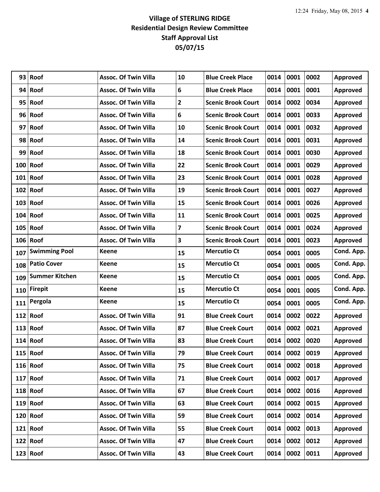| 93  | Roof                  | <b>Assoc. Of Twin Villa</b> | 10                      | <b>Blue Creek Place</b>   | 0014 | 0001 | 0002 | <b>Approved</b> |
|-----|-----------------------|-----------------------------|-------------------------|---------------------------|------|------|------|-----------------|
|     | 94 Roof               | <b>Assoc. Of Twin Villa</b> | 6                       | <b>Blue Creek Place</b>   | 0014 | 0001 | 0001 | Approved        |
|     | 95 Roof               | <b>Assoc. Of Twin Villa</b> | $\overline{2}$          | <b>Scenic Brook Court</b> | 0014 | 0002 | 0034 | Approved        |
|     | 96 Roof               | <b>Assoc. Of Twin Villa</b> | 6                       | <b>Scenic Brook Court</b> | 0014 | 0001 | 0033 | Approved        |
|     | 97 Roof               | <b>Assoc. Of Twin Villa</b> | 10                      | <b>Scenic Brook Court</b> | 0014 | 0001 | 0032 | Approved        |
| 98  | Roof                  | <b>Assoc. Of Twin Villa</b> | 14                      | <b>Scenic Brook Court</b> | 0014 | 0001 | 0031 | Approved        |
|     | 99 Roof               | <b>Assoc. Of Twin Villa</b> | 18                      | <b>Scenic Brook Court</b> | 0014 | 0001 | 0030 | Approved        |
|     | $100$ Roof            | <b>Assoc. Of Twin Villa</b> | 22                      | <b>Scenic Brook Court</b> | 0014 | 0001 | 0029 | Approved        |
|     | $101$ Roof            | <b>Assoc. Of Twin Villa</b> | 23                      | <b>Scenic Brook Court</b> | 0014 | 0001 | 0028 | Approved        |
|     | $102$ Roof            | <b>Assoc. Of Twin Villa</b> | 19                      | <b>Scenic Brook Court</b> | 0014 | 0001 | 0027 | Approved        |
|     | $103$ Roof            | <b>Assoc. Of Twin Villa</b> | 15                      | <b>Scenic Brook Court</b> | 0014 | 0001 | 0026 | Approved        |
|     | $104$ Roof            | <b>Assoc. Of Twin Villa</b> | 11                      | <b>Scenic Brook Court</b> | 0014 | 0001 | 0025 | Approved        |
|     | $105$ Roof            | <b>Assoc. Of Twin Villa</b> | $\overline{\mathbf{z}}$ | <b>Scenic Brook Court</b> | 0014 | 0001 | 0024 | Approved        |
|     | $106$ Roof            | <b>Assoc. Of Twin Villa</b> | 3                       | <b>Scenic Brook Court</b> | 0014 | 0001 | 0023 | Approved        |
| 107 | <b>Swimming Pool</b>  | <b>Keene</b>                | 15                      | <b>Mercutio Ct</b>        | 0054 | 0001 | 0005 | Cond. App.      |
| 108 | <b>Patio Cover</b>    | Keene                       | 15                      | <b>Mercutio Ct</b>        | 0054 | 0001 | 0005 | Cond. App.      |
| 109 | <b>Summer Kitchen</b> | <b>Keene</b>                | 15                      | <b>Mercutio Ct</b>        | 0054 | 0001 | 0005 | Cond. App.      |
| 110 | <b>Firepit</b>        | <b>Keene</b>                | 15                      | <b>Mercutio Ct</b>        | 0054 | 0001 | 0005 | Cond. App.      |
| 111 | Pergola               | <b>Keene</b>                | 15                      | <b>Mercutio Ct</b>        | 0054 | 0001 | 0005 | Cond. App.      |
|     | 112 Roof              | <b>Assoc. Of Twin Villa</b> | 91                      | <b>Blue Creek Court</b>   | 0014 | 0002 | 0022 | Approved        |
|     | $113$ Roof            | <b>Assoc. Of Twin Villa</b> | 87                      | <b>Blue Creek Court</b>   | 0014 | 0002 | 0021 | Approved        |
|     | $114$ Roof            | <b>Assoc. Of Twin Villa</b> | 83                      | <b>Blue Creek Court</b>   | 0014 | 0002 | 0020 | Approved        |
|     | $115$ Roof            | <b>Assoc. Of Twin Villa</b> | 79                      | <b>Blue Creek Court</b>   | 0014 | 0002 | 0019 | Approved        |
|     | $116$ Roof            | <b>Assoc. Of Twin Villa</b> | 75                      | <b>Blue Creek Court</b>   | 0014 | 0002 | 0018 | Approved        |
|     | $117$ Roof            | <b>Assoc. Of Twin Villa</b> | 71                      | <b>Blue Creek Court</b>   | 0014 | 0002 | 0017 | Approved        |
|     | $118$ Roof            | <b>Assoc. Of Twin Villa</b> | 67                      | <b>Blue Creek Court</b>   | 0014 | 0002 | 0016 | Approved        |
|     | $119$ Roof            | <b>Assoc. Of Twin Villa</b> | 63                      | <b>Blue Creek Court</b>   | 0014 | 0002 | 0015 | Approved        |
|     | $120$ Roof            | <b>Assoc. Of Twin Villa</b> | 59                      | <b>Blue Creek Court</b>   | 0014 | 0002 | 0014 | Approved        |
|     | $121$ Roof            | <b>Assoc. Of Twin Villa</b> | 55                      | <b>Blue Creek Court</b>   | 0014 | 0002 | 0013 | Approved        |
|     | $122$ Roof            | <b>Assoc. Of Twin Villa</b> | 47                      | <b>Blue Creek Court</b>   | 0014 | 0002 | 0012 | Approved        |
|     | $123$ Roof            | <b>Assoc. Of Twin Villa</b> | 43                      | <b>Blue Creek Court</b>   | 0014 | 0002 | 0011 | Approved        |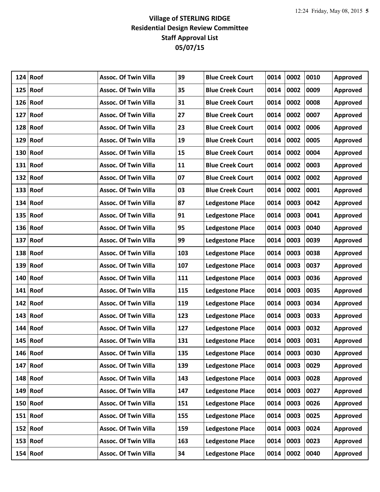|     | $124$ Roof | <b>Assoc. Of Twin Villa</b> | 39  | <b>Blue Creek Court</b> | 0014 | 0002 | 0010 | Approved        |
|-----|------------|-----------------------------|-----|-------------------------|------|------|------|-----------------|
| 125 | Roof       | <b>Assoc. Of Twin Villa</b> | 35  | <b>Blue Creek Court</b> | 0014 | 0002 | 0009 | Approved        |
| 126 | Roof       | <b>Assoc. Of Twin Villa</b> | 31  | <b>Blue Creek Court</b> | 0014 | 0002 | 0008 | Approved        |
| 127 | Roof       | <b>Assoc. Of Twin Villa</b> | 27  | <b>Blue Creek Court</b> | 0014 | 0002 | 0007 | Approved        |
|     | $128$ Roof | <b>Assoc. Of Twin Villa</b> | 23  | <b>Blue Creek Court</b> | 0014 | 0002 | 0006 | Approved        |
| 129 | Roof       | <b>Assoc. Of Twin Villa</b> | 19  | <b>Blue Creek Court</b> | 0014 | 0002 | 0005 | Approved        |
|     | $130$ Roof | <b>Assoc. Of Twin Villa</b> | 15  | <b>Blue Creek Court</b> | 0014 | 0002 | 0004 | Approved        |
|     | $131$ Roof | <b>Assoc. Of Twin Villa</b> | 11  | <b>Blue Creek Court</b> | 0014 | 0002 | 0003 | Approved        |
| 132 | Roof       | <b>Assoc. Of Twin Villa</b> | 07  | <b>Blue Creek Court</b> | 0014 | 0002 | 0002 | Approved        |
|     | $133$ Roof | <b>Assoc. Of Twin Villa</b> | 03  | <b>Blue Creek Court</b> | 0014 | 0002 | 0001 | Approved        |
|     | $134$ Roof | <b>Assoc. Of Twin Villa</b> | 87  | <b>Ledgestone Place</b> | 0014 | 0003 | 0042 | Approved        |
| 135 | Roof       | <b>Assoc. Of Twin Villa</b> | 91  | <b>Ledgestone Place</b> | 0014 | 0003 | 0041 | Approved        |
|     | 136 Roof   | <b>Assoc. Of Twin Villa</b> | 95  | <b>Ledgestone Place</b> | 0014 | 0003 | 0040 | Approved        |
| 137 | Roof       | <b>Assoc. Of Twin Villa</b> | 99  | <b>Ledgestone Place</b> | 0014 | 0003 | 0039 | Approved        |
| 138 | Roof       | <b>Assoc. Of Twin Villa</b> | 103 | <b>Ledgestone Place</b> | 0014 | 0003 | 0038 | Approved        |
|     | $139$ Roof | <b>Assoc. Of Twin Villa</b> | 107 | <b>Ledgestone Place</b> | 0014 | 0003 | 0037 | Approved        |
| 140 | Roof       | <b>Assoc. Of Twin Villa</b> | 111 | <b>Ledgestone Place</b> | 0014 | 0003 | 0036 | Approved        |
|     | $141$ Roof | <b>Assoc. Of Twin Villa</b> | 115 | <b>Ledgestone Place</b> | 0014 | 0003 | 0035 | Approved        |
| 142 | Roof       | <b>Assoc. Of Twin Villa</b> | 119 | <b>Ledgestone Place</b> | 0014 | 0003 | 0034 | Approved        |
| 143 | Roof       | <b>Assoc. Of Twin Villa</b> | 123 | <b>Ledgestone Place</b> | 0014 | 0003 | 0033 | Approved        |
|     | $144$ Roof | <b>Assoc. Of Twin Villa</b> | 127 | <b>Ledgestone Place</b> | 0014 | 0003 | 0032 | Approved        |
| 145 | Roof       | <b>Assoc. Of Twin Villa</b> | 131 | <b>Ledgestone Place</b> | 0014 | 0003 | 0031 | Approved        |
|     | $146$ Roof | <b>Assoc. Of Twin Villa</b> | 135 | <b>Ledgestone Place</b> | 0014 | 0003 | 0030 | Approved        |
|     | $147$ Roof | <b>Assoc. Of Twin Villa</b> | 139 | <b>Ledgestone Place</b> | 0014 | 0003 | 0029 | Approved        |
|     | $148$ Roof | <b>Assoc. Of Twin Villa</b> | 143 | <b>Ledgestone Place</b> | 0014 | 0003 | 0028 | Approved        |
| 149 | Roof       | <b>Assoc. Of Twin Villa</b> | 147 | <b>Ledgestone Place</b> | 0014 | 0003 | 0027 | Approved        |
|     | $150$ Roof | <b>Assoc. Of Twin Villa</b> | 151 | <b>Ledgestone Place</b> | 0014 | 0003 | 0026 | Approved        |
|     | $151$ Roof | <b>Assoc. Of Twin Villa</b> | 155 | <b>Ledgestone Place</b> | 0014 | 0003 | 0025 | Approved        |
|     | $152$ Roof | <b>Assoc. Of Twin Villa</b> | 159 | <b>Ledgestone Place</b> | 0014 | 0003 | 0024 | Approved        |
|     | $153$ Roof | <b>Assoc. Of Twin Villa</b> | 163 | <b>Ledgestone Place</b> | 0014 | 0003 | 0023 | Approved        |
|     | $154$ Roof | <b>Assoc. Of Twin Villa</b> | 34  | <b>Ledgestone Place</b> | 0014 | 0002 | 0040 | <b>Approved</b> |